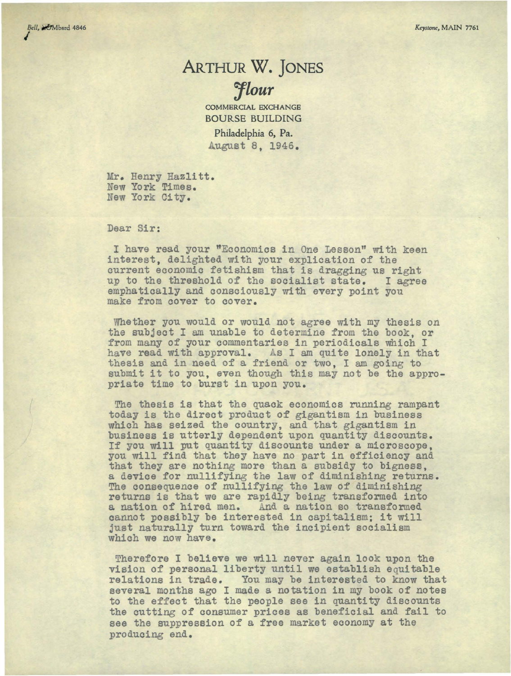## ARTHUR **W.** jONES *1lour*

COMMERCIAL EXCHANGE BOURSE BUILDING

Philadelphia 6, Pa. August 8, 1946.

Mr. Henry Hazlitt. New York Times. New York City.

Dear Sir:

I have read your "Economics in One Lesson" with keen interest, delighted with your explication of the current economic fetishism that is dragging us right<br>up to the threshold of the socialist state. I agree emphatically and consciously with every point you make from cover to cover.

Whether you would or would not agree with my thesis on the subject I am unable to determine from the book, or from many of your commentaries in periodicals which I have read with approval. As I am quite lonely in that thesis and in need of a friend or two, I am going to submit it to you, even though this may not be the appro- priate time to burst in upon you.

The thesis is that the quack economics running rampant today is the direct product of gigantism in business which has seized the country, and that gigantism in business is utterly dependent upon quantity discounts. If you will put quantity discounts under a microscope, you will find that they have no part in efficiency and that they are nothing more than a subsidy to bigness, a device for nullifying the law of diminishing returns. The consequence of nullifying the law of diminishing returns is that we are rapidly being transformed into a nation of hired men. And a nation so transformed cannot possibly be interested in capitalism; it will just naturally turn toward the incipient socialism which we now have.

Therefore I believe we will never again look upon the vision of personal liberty until we establish equitable relations in trade. You may be interested to know that several months ago I made a notation in my book of notes to the effect that the people see in quantity discounts the cutting of consumer prices as beneficial and fail to see the suppression of a free market economy at the producing end.